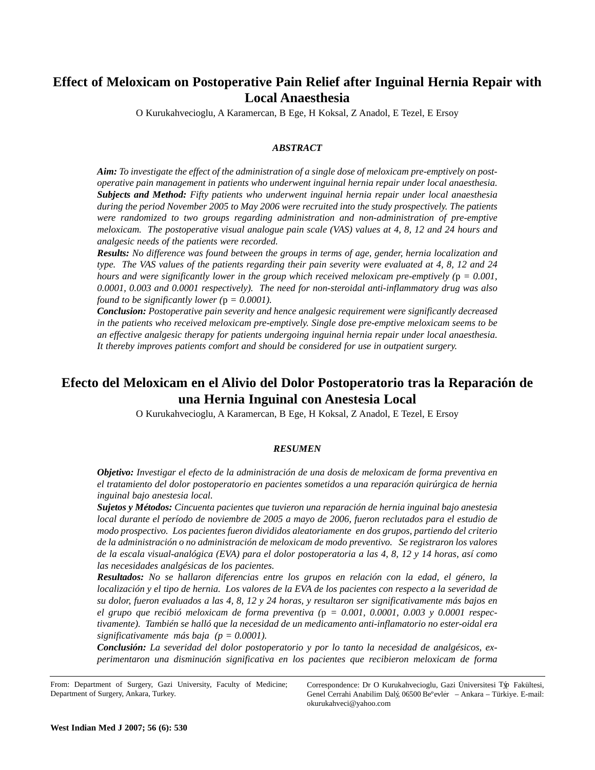# **Effect of Meloxicam on Postoperative Pain Relief after Inguinal Hernia Repair with Local Anaesthesia**

O Kurukahvecioglu, A Karamercan, B Ege, H Koksal, Z Anadol, E Tezel, E Ersoy

## *ABSTRACT*

*Aim: To investigate the effect of the administration of a single dose of meloxicam pre-emptively on postoperative pain management in patients who underwent inguinal hernia repair under local anaesthesia. Subjects and Method: Fifty patients who underwent inguinal hernia repair under local anaesthesia during the period November 2005 to May 2006 were recruited into the study prospectively. The patients were randomized to two groups regarding administration and non-administration of pre-emptive meloxicam. The postoperative visual analogue pain scale (VAS) values at 4, 8, 12 and 24 hours and analgesic needs of the patients were recorded.* 

*Results: No difference was found between the groups in terms of age, gender, hernia localization and type. The VAS values of the patients regarding their pain severity were evaluated at 4, 8, 12 and 24 hours and were significantly lower in the group which received meloxicam pre-emptively (*p *= 0.001, 0.0001, 0.003 and 0.0001 respectively). The need for non-steroidal anti-inflammatory drug was also found to be significantly lower (* $p = 0.0001$ *).* 

*Conclusion: Postoperative pain severity and hence analgesic requirement were significantly decreased in the patients who received meloxicam pre-emptively. Single dose pre-emptive meloxicam seems to be an effective analgesic therapy for patients undergoing inguinal hernia repair under local anaesthesia. It thereby improves patients comfort and should be considered for use in outpatient surgery.* 

## **Efecto del Meloxicam en el Alivio del Dolor Postoperatorio tras la Reparación de una Hernia Inguinal con Anestesia Local**

O Kurukahvecioglu, A Karamercan, B Ege, H Koksal, Z Anadol, E Tezel, E Ersoy

## *RESUMEN*

*Objetivo: Investigar el efecto de la administración de una dosis de meloxicam de forma preventiva en el tratamiento del dolor postoperatorio en pacientes sometidos a una reparación quirúrgica de hernia inguinal bajo anestesia local.* 

*Sujetos y Métodos: Cincuenta pacientes que tuvieron una reparación de hernia inguinal bajo anestesia local durante el período de noviembre de 2005 a mayo de 2006, fueron reclutados para el estudio de modo prospectivo. Los pacientes fueron divididos aleatoriamente en dos grupos, partiendo del criterio de la administración o no administración de meloxicam de modo preventivo. Se registraron los valores de la escala visual-analógica (EVA) para el dolor postoperatoria a las 4, 8, 12 y 14 horas, así como las necesidades analgésicas de los pacientes.* 

*Resultados: No se hallaron diferencias entre los grupos en relación con la edad, el género, la localización y el tipo de hernia. Los valores de la EVA de los pacientes con respecto a la severidad de su dolor, fueron evaluados a las 4, 8, 12 y 24 horas, y resultaron ser significativamente más bajos en el grupo que recibió meloxicam de forma preventiva (*p *= 0.001, 0.0001, 0.003 y 0.0001 respectivamente). También se halló que la necesidad de un medicamento anti-inflamatorio no ester-oidal era significativamente más baja (p = 0.0001).* 

*Conclusión: La severidad del dolor postoperatorio y por lo tanto la necesidad de analgésicos, experimentaron una disminución significativa en los pacientes que recibieron meloxicam de forma*

Correspondence: Dr O Kurukahvecioglu, Gazi Üniversitesi Týp Fakültesi, Genel Cerrahi Anabilim Dalý, 06500 Be°evler - Ankara - Türkiye. E-mail: okurukahveci@yahoo.com

From: Department of Surgery, Gazi University, Faculty of Medicine; Department of Surgery, Ankara, Turkey.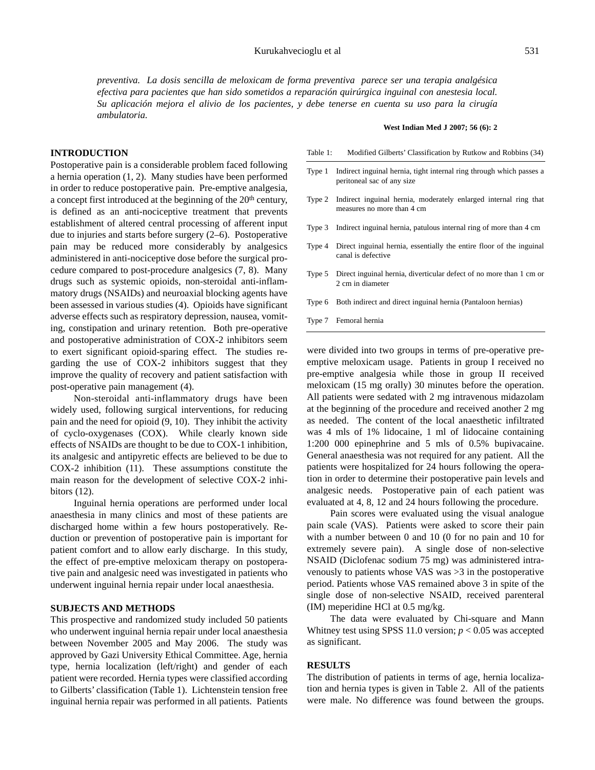*preventiva. La dosis sencilla de meloxicam de forma preventiva parece ser una terapia analgésica efectiva para pacientes que han sido sometidos a reparación quirúrgica inguinal con anestesia local. Su aplicación mejora el alivio de los pacientes, y debe tenerse en cuenta su uso para la cirugía ambulatoria.*

#### **INTRODUCTION**

Postoperative pain is a considerable problem faced following a hernia operation (1, 2). Many studies have been performed in order to reduce postoperative pain. Pre-emptive analgesia, a concept first introduced at the beginning of the 20<sup>th</sup> century, is defined as an anti-nociceptive treatment that prevents establishment of altered central processing of afferent input due to injuries and starts before surgery (2–6). Postoperative pain may be reduced more considerably by analgesics administered in anti-nociceptive dose before the surgical procedure compared to post-procedure analgesics (7, 8). Many drugs such as systemic opioids, non-steroidal anti-inflammatory drugs (NSAIDs) and neuroaxial blocking agents have been assessed in various studies (4). Opioids have significant adverse effects such as respiratory depression, nausea, vomiting, constipation and urinary retention. Both pre-operative and postoperative administration of COX-2 inhibitors seem to exert significant opioid-sparing effect. The studies regarding the use of COX-2 inhibitors suggest that they improve the quality of recovery and patient satisfaction with post-operative pain management (4).

Non-steroidal anti-inflammatory drugs have been widely used, following surgical interventions, for reducing pain and the need for opioid (9, 10). They inhibit the activity of cyclo-oxygenases (COX). While clearly known side effects of NSAIDs are thought to be due to COX-1 inhibition, its analgesic and antipyretic effects are believed to be due to COX-2 inhibition (11). These assumptions constitute the main reason for the development of selective COX-2 inhibitors (12).

Inguinal hernia operations are performed under local anaesthesia in many clinics and most of these patients are discharged home within a few hours postoperatively. Reduction or prevention of postoperative pain is important for patient comfort and to allow early discharge. In this study, the effect of pre-emptive meloxicam therapy on postoperative pain and analgesic need was investigated in patients who underwent inguinal hernia repair under local anaesthesia.

#### **SUBJECTS AND METHODS**

This prospective and randomized study included 50 patients who underwent inguinal hernia repair under local anaesthesia between November 2005 and May 2006. The study was approved by Gazi University Ethical Committee. Age, hernia type, hernia localization (left/right) and gender of each patient were recorded. Hernia types were classified according to Gilberts' classification (Table 1). Lichtenstein tension free inguinal hernia repair was performed in all patients. Patients

#### **West Indian Med J 2007; 56 (6): 2**

Table 1: Modified Gilberts' Classification by Rutkow and Robbins (34)

- Type 1 Indirect inguinal hernia, tight internal ring through which passes a peritoneal sac of any size
- Type 2 Indirect inguinal hernia, moderately enlarged internal ring that measures no more than 4 cm
- Type 3 Indirect inguinal hernia, patulous internal ring of more than 4 cm
- Type 4 Direct inguinal hernia, essentially the entire floor of the inguinal canal is defective
- Type 5 Direct inguinal hernia, diverticular defect of no more than 1 cm or 2 cm in diameter
- Type 6 Both indirect and direct inguinal hernia (Pantaloon hernias)
- Type 7 Femoral hernia

were divided into two groups in terms of pre-operative preemptive meloxicam usage. Patients in group I received no pre-emptive analgesia while those in group II received meloxicam (15 mg orally) 30 minutes before the operation. All patients were sedated with 2 mg intravenous midazolam at the beginning of the procedure and received another 2 mg as needed. The content of the local anaesthetic infiltrated was 4 mls of 1% lidocaine, 1 ml of lidocaine containing 1:200 000 epinephrine and 5 mls of 0.5% bupivacaine. General anaesthesia was not required for any patient. All the patients were hospitalized for 24 hours following the operation in order to determine their postoperative pain levels and analgesic needs. Postoperative pain of each patient was evaluated at 4, 8, 12 and 24 hours following the procedure.

Pain scores were evaluated using the visual analogue pain scale (VAS). Patients were asked to score their pain with a number between 0 and 10 (0 for no pain and 10 for extremely severe pain). A single dose of non-selective NSAID (Diclofenac sodium 75 mg) was administered intravenously to patients whose VAS was >3 in the postoperative period. Patients whose VAS remained above 3 in spite of the single dose of non-selective NSAID, received parenteral (IM) meperidine HCl at 0.5 mg/kg.

The data were evaluated by Chi-square and Mann Whitney test using SPSS 11.0 version;  $p < 0.05$  was accepted as significant.

#### **RESULTS**

The distribution of patients in terms of age, hernia localization and hernia types is given in Table 2. All of the patients were male. No difference was found between the groups.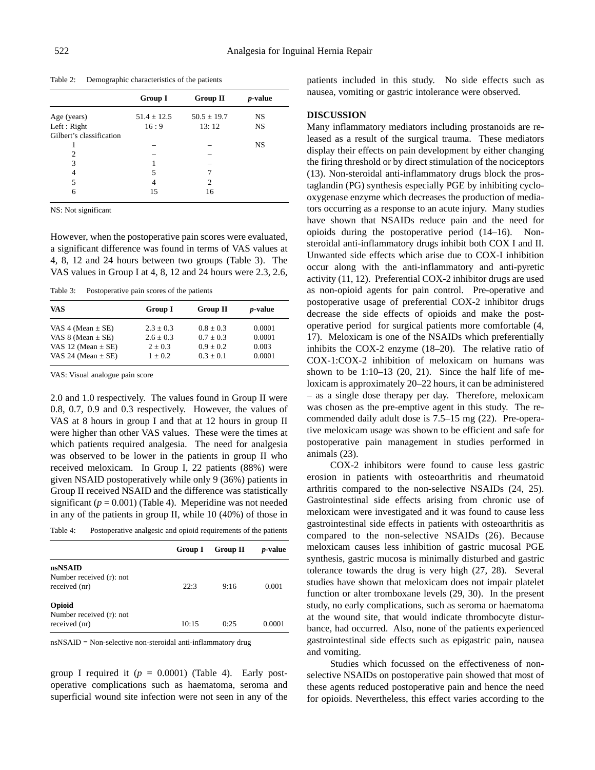Table 2: Demographic characteristics of the patients

|                          | <b>Group I</b>  | <b>Group II</b> | <i>p</i> -value |
|--------------------------|-----------------|-----------------|-----------------|
| Age (years)              | $51.4 \pm 12.5$ | $50.5 \pm 19.7$ | <b>NS</b>       |
| Left : Right             | 16:9            | 13:12           | <b>NS</b>       |
| Gilbert's classification |                 |                 |                 |
|                          |                 |                 | <b>NS</b>       |
| 2                        |                 |                 |                 |
| 3                        |                 |                 |                 |
|                          | 5               |                 |                 |
| 5                        | 4               | 2               |                 |
| 6                        | 15              | 16              |                 |
|                          |                 |                 |                 |

NS: Not significant

However, when the postoperative pain scores were evaluated, a significant difference was found in terms of VAS values at 4, 8, 12 and 24 hours between two groups (Table 3). The VAS values in Group I at 4, 8, 12 and 24 hours were 2.3, 2.6,

Table 3: Postoperative pain scores of the patients

| <b>VAS</b>             | <b>Group I</b> | <b>Group II</b> | <i>p</i> -value |
|------------------------|----------------|-----------------|-----------------|
| VAS 4 (Mean $\pm$ SE)  | $2.3 + 0.3$    | $0.8 + 0.3$     | 0.0001          |
| VAS 8 (Mean $\pm$ SE)  | $2.6 + 0.3$    | $0.7 + 0.3$     | 0.0001          |
| VAS 12 (Mean $\pm$ SE) | $2 + 0.3$      | $0.9 + 0.2$     | 0.003           |
| VAS 24 (Mean $\pm$ SE) | $1 + 0.2$      | $0.3 + 0.1$     | 0.0001          |

VAS: Visual analogue pain score

2.0 and 1.0 respectively. The values found in Group II were 0.8, 0.7, 0.9 and 0.3 respectively. However, the values of VAS at 8 hours in group I and that at 12 hours in group II were higher than other VAS values. These were the times at which patients required analgesia. The need for analgesia was observed to be lower in the patients in group II who received meloxicam. In Group I, 22 patients (88%) were given NSAID postoperatively while only 9 (36%) patients in Group II received NSAID and the difference was statistically significant  $(p = 0.001)$  (Table 4). Meperidine was not needed in any of the patients in group II, while 10 (40%) of those in

Table 4: Postoperative analgesic and opioid requirements of the patients

|                                           | <b>Group I</b> | <b>Group II</b> | <i>p</i> -value |
|-------------------------------------------|----------------|-----------------|-----------------|
| nsNSAID                                   |                |                 |                 |
| Number received (r): not<br>received (nr) | 22:3           | 9:16            | 0.001           |
| Opioid                                    |                |                 |                 |
| Number received (r): not<br>received (nr) | 10:15          | 0:25            | 0.0001          |

nsNSAID = Non-selective non-steroidal anti-inflammatory drug

group I required it  $(p = 0.0001)$  (Table 4). Early postoperative complications such as haematoma, seroma and superficial wound site infection were not seen in any of the patients included in this study. No side effects such as nausea, vomiting or gastric intolerance were observed.

### **DISCUSSION**

Many inflammatory mediators including prostanoids are released as a result of the surgical trauma. These mediators display their effects on pain development by either changing the firing threshold or by direct stimulation of the nociceptors (13). Non-steroidal anti-inflammatory drugs block the prostaglandin (PG) synthesis especially PGE by inhibiting cyclooxygenase enzyme which decreases the production of mediators occurring as a response to an acute injury. Many studies have shown that NSAIDs reduce pain and the need for opioids during the postoperative period (14–16). Nonsteroidal anti-inflammatory drugs inhibit both COX I and II. Unwanted side effects which arise due to COX-I inhibition occur along with the anti-inflammatory and anti-pyretic activity (11, 12). Preferential COX-2 inhibitor drugs are used as non-opioid agents for pain control. Pre-operative and postoperative usage of preferential COX-2 inhibitor drugs decrease the side effects of opioids and make the postoperative period for surgical patients more comfortable (4, 17). Meloxicam is one of the NSAIDs which preferentially inhibits the COX-2 enzyme (18–20). The relative ratio of COX-1:COX-2 inhibition of meloxicam on humans was shown to be  $1:10-13$  (20, 21). Since the half life of meloxicam is approximately 20–22 hours, it can be administered – as a single dose therapy per day. Therefore, meloxicam was chosen as the pre-emptive agent in this study. The recommended daily adult dose is 7.5–15 mg (22). Pre-operative meloxicam usage was shown to be efficient and safe for postoperative pain management in studies performed in animals (23).

COX-2 inhibitors were found to cause less gastric erosion in patients with osteoarthritis and rheumatoid arthritis compared to the non-selective NSAIDs (24, 25). Gastrointestinal side effects arising from chronic use of meloxicam were investigated and it was found to cause less gastrointestinal side effects in patients with osteoarthritis as compared to the non-selective NSAIDs (26). Because meloxicam causes less inhibition of gastric mucosal PGE synthesis, gastric mucosa is minimally disturbed and gastric tolerance towards the drug is very high (27, 28). Several studies have shown that meloxicam does not impair platelet function or alter tromboxane levels (29, 30). In the present study, no early complications, such as seroma or haematoma at the wound site, that would indicate thrombocyte disturbance, had occurred. Also, none of the patients experienced gastrointestinal side effects such as epigastric pain, nausea and vomiting.

Studies which focussed on the effectiveness of nonselective NSAIDs on postoperative pain showed that most of these agents reduced postoperative pain and hence the need for opioids. Nevertheless, this effect varies according to the